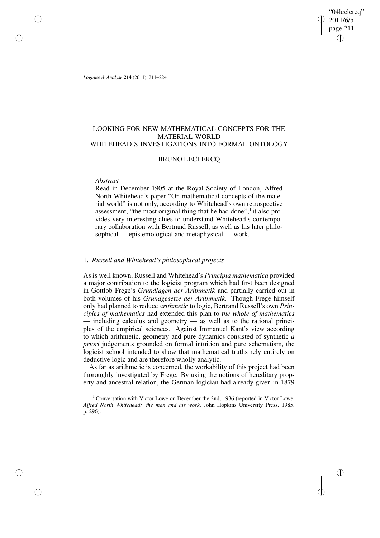"04leclercq" 2011/6/5 page 211 ✐ ✐

✐

✐

*Logique & Analyse* **214** (2011), 211–224

✐

✐

✐

✐

# LOOKING FOR NEW MATHEMATICAL CONCEPTS FOR THE MATERIAL WORLD WHITEHEAD'S INVESTIGATIONS INTO FORMAL ONTOLOGY

## BRUNO LECLERCQ

### *Abstract*

Read in December 1905 at the Royal Society of London, Alfred North Whitehead's paper "On mathematical concepts of the material world" is not only, according to Whitehead's own retrospective assessment, "the most original thing that he had done";<sup>1</sup> it also provides very interesting clues to understand Whitehead's contemporary collaboration with Bertrand Russell, as well as his later philosophical — epistemological and metaphysical — work.

### 1. *Russell and Whitehead's philosophical projects*

As is well known, Russell and Whitehead's *Principia mathematica* provided a major contribution to the logicist program which had first been designed in Gottlob Frege's *Grundlagen der Arithmetik* and partially carried out in both volumes of his *Grundgesetze der Arithmetik*. Though Frege himself only had planned to reduce *arithmetic* to logic, Bertrand Russell's own *Principles of mathematics* had extended this plan to *the whole of mathematics* including calculus and geometry  $\frac{1}{x}$  as well as to the rational principles of the empirical sciences. Against Immanuel Kant's view according to which arithmetic, geometry and pure dynamics consisted of synthetic *a priori* judgements grounded on formal intuition and pure schematism, the logicist school intended to show that mathematical truths rely entirely on deductive logic and are therefore wholly analytic.

As far as arithmetic is concerned, the workability of this project had been thoroughly investigated by Frege. By using the notions of hereditary property and ancestral relation, the German logician had already given in 1879

 $1$  Conversation with Victor Lowe on December the 2nd, 1936 (reported in Victor Lowe, *Alfred North Whitehead: the man and his work*, John Hopkins University Press, 1985, p. 296).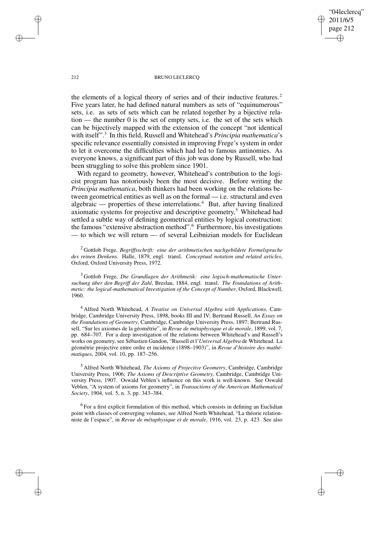"04leclercq" 2011/6/5 page 212 ✐ ✐

✐

✐

#### 212 BRUNO LECLERCO

the elements of a logical theory of series and of their inductive features.<sup>2</sup> Five years later, he had defined natural numbers as sets of "equinumerous" sets, i.e. as sets of sets which can be related together by a bijective relation — the number 0 is the set of empty sets, i.e. the set of the sets which can be bijectively mapped with the extension of the concept "not identical with itself".<sup>3</sup> In this field, Russell and Whitehead's *Principia mathematica*'s specific relevance essentially consisted in improving Frege's system in order to let it overcome the difficulties which had led to famous antinomies. As everyone knows, a significant part of this job was done by Russell, who had been struggling to solve this problem since 1901.

With regard to geometry, however, Whitehead's contribution to the logicist program has notoriously been the most decisive. Before writing the *Principia mathematica*, both thinkers had been working on the relations between geometrical entities as well as on the formal — i.e. structural and even algebraic — properties of these interrelations.<sup>4</sup> But, after having finalized axiomatic systems for projective and descriptive geometry, <sup>5</sup> Whitehead had settled a subtle way of defining geometrical entities by logical construction: the famous "extensive abstraction method".<sup>6</sup> Furthermore, his investigations — to which we will return — of several Leibnizian models for Euclidean

<sup>2</sup> Gottlob Frege, *Begriffsschrift: eine der arithmetischen nachgebildete Formelsprache des reinen Denkens*. Halle, 1879, engl. transl. *Conceptual notation and related articles*, Oxford, Oxford University Press, 1972.

<sup>3</sup> Gottlob Frege, *Die Grundlagen der Arithmetik: eine logisch-mathematische Untersuchung über den Begriff der Zahl*, Breslau, 1884, engl. transl. *The Foundations of Arithmetic: the logical-mathematical Investigation of the Concept of Number*, Oxford, Blackwell, 1960.

<sup>4</sup> Alfred North Whitehead, *A Treatise on Universal Algebra with Applications*, Cambridge, Cambridge University Press, 1898, books III and IV; Bertrand Russell, *An Essay on the Foundations of Geometry*, Cambridge, Cambridge University Press, 1897; Bertrand Russell, "Sur les axiomes de la géométrie", in *Revue de métaphysique et de morale*, 1899, vol. 7, pp. 684–707. For a deep investigation of the relations between Whitehead's and Russell's works on geometry, see Sébastien Gandon, "Russell et l'*Universal Algebra* de Whitehead. La géométrie projective entre ordre et incidence (1898–1903)", in *Revue d'histoire des mathématiques*, 2004, vol. 10, pp. 187–256.

<sup>5</sup> Alfred North Whitehead, *The Axioms of Projective Geometry*, Cambridge, Cambridge University Press, 1906; *The Axioms of Descriptive Geometry*, Cambridge, Cambridge University Press, 1907. Oswald Veblen's influence on this work is well-known. See Oswald Veblen, "A system of axioms for geometry", in *Transactions of the American Mathematical Society*, 1904, vol. 5, n. 3, pp. 343–384.

<sup>6</sup> For a first explicit formulation of this method, which consists in defining an Euclidian point with classes of converging volumes, see Alfred North Whitehead, "La théorie relationniste de l'espace", in *Revue de métaphysique et de morale*, 1916, vol. 23, p. 423. See also

✐

✐

✐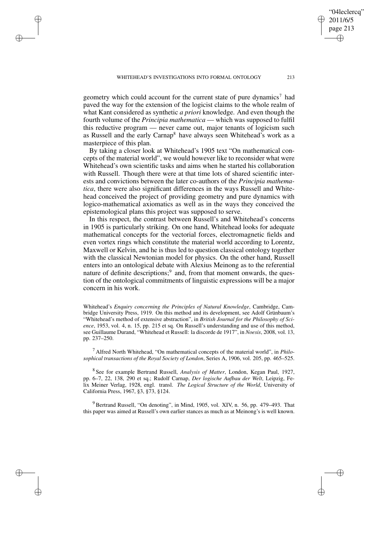✐

✐

✐

✐

geometry which could account for the current state of pure dynamics<sup>7</sup> had paved the way for the extension of the logicist claims to the whole realm of what Kant considered as synthetic *a priori* knowledge. And even though the fourth volume of the *Principia mathematica* — which was supposed to fulfil this reductive program — never came out, major tenants of logicism such as Russell and the early Carnap<sup>8</sup> have always seen Whitehead's work as a masterpiece of this plan.

By taking a closer look at Whitehead's 1905 text "On mathematical concepts of the material world", we would however like to reconsider what were Whitehead's own scientific tasks and aims when he started his collaboration with Russell. Though there were at that time lots of shared scientific interests and convictions between the later co-authors of the *Principia mathematica*, there were also significant differences in the ways Russell and Whitehead conceived the project of providing geometry and pure dynamics with logico-mathematical axiomatics as well as in the ways they conceived the epistemological plans this project was supposed to serve.

In this respect, the contrast between Russell's and Whitehead's concerns in 1905 is particularly striking. On one hand, Whitehead looks for adequate mathematical concepts for the vectorial forces, electromagnetic fields and even vortex rings which constitute the material world according to Lorentz, Maxwell or Kelvin, and he is thus led to question classical ontology together with the classical Newtonian model for physics. On the other hand, Russell enters into an ontological debate with Alexius Meinong as to the referential nature of definite descriptions;<sup>9</sup> and, from that moment onwards, the question of the ontological commitments of linguistic expressions will be a major concern in his work.

Whitehead's *Enquiry concerning the Principles of Natural Knowledge*, Cambridge, Cambridge University Press, 1919. On this method and its development, see Adolf Grünbaum's "Whitehead's method of extensive abstraction", in *British Journal for the Philosophy of Science*, 1953, vol. 4, n. 15, pp. 215 et sq. On Russell's understanding and use of this method, see Guillaume Durand, "Whitehead et Russell: la discorde de 1917", in *Noesis*, 2008, vol. 13, pp. 237–250.

<sup>7</sup> Alfred North Whitehead, "On mathematical concepts of the material world", in *Philosophical transactions of the Royal Society of London*, Series A, 1906, vol. 205, pp. 465–525.

8 See for example Bertrand Russell, *Analysis of Matter*, London, Kegan Paul, 1927, pp. 6–7, 22, 138, 290 et sq.; Rudolf Carnap, *Der logische Aufbau der Welt*, Leipzig, Felix Meiner Verlag, 1928, engl. transl. *The Logical Structure of the World*, University of California Press, 1967, §3, §73, §124.

<sup>9</sup> Bertrand Russell, "On denoting", in Mind, 1905, vol. XIV, n. 56, pp. 479–493. That this paper was aimed at Russell's own earlier stances as much as at Meinong's is well known.

"04leclercq" 2011/6/5 page 213

✐

✐

✐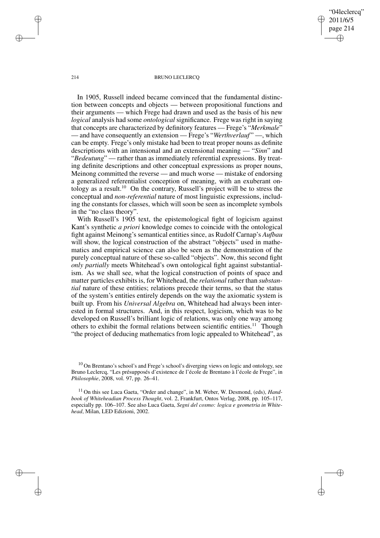"04leclercq" 2011/6/5 page 214 ✐ ✐

✐

✐

#### 214 BRUNO LECLERCO

In 1905, Russell indeed became convinced that the fundamental distinction between concepts and objects — between propositional functions and their arguments — which Frege had drawn and used as the basis of his new *logical* analysis had some *ontological* significance. Frege was right in saying that concepts are characterized by definitory features — Frege's "*Merkmale*" — and have consequently an extension — Frege's "*Werthverlauf*" —, which can be empty. Frege's only mistake had been to treat proper nouns as definite descriptions with an intensional and an extensional meaning — "*Sinn*" and "*Bedeutung*" — rather than as immediately referential expressions. By treating definite descriptions and other conceptual expressions as proper nouns, Meinong committed the reverse — and much worse — mistake of endorsing a generalized referentialist conception of meaning, with an exuberant ontology as a result.<sup>10</sup> On the contrary, Russell's project will be to stress the conceptual and *non-referential* nature of most linguistic expressions, including the constants for classes, which will soon be seen as incomplete symbols in the "no class theory".

With Russell's 1905 text, the epistemological fight of logicism against Kant's synthetic *a priori* knowledge comes to coincide with the ontological fight against Meinong's semantical entities since, as Rudolf Carnap's *Aufbau* will show, the logical construction of the abstract "objects" used in mathematics and empirical science can also be seen as the demonstration of the purely conceptual nature of these so-called "objects". Now, this second fight *only partially* meets Whitehead's own ontological fight against substantialism. As we shall see, what the logical construction of points of space and matter particles exhibits is, for Whitehead, the *relational* rather than *substantial* nature of these entities; relations precede their terms, so that the status of the system's entities entirely depends on the way the axiomatic system is built up. From his *Universal Algebra* on, Whitehead had always been interested in formal structures. And, in this respect, logicism, which was to be developed on Russell's brilliant logic of relations, was only one way among others to exhibit the formal relations between scientific entities.<sup>11</sup> Though "the project of deducing mathematics from logic appealed to Whitehead", as

✐

✐

✐

 $10$  On Brentano's school's and Frege's school's diverging views on logic and ontology, see Bruno Leclercq, "Les présupposés d'existence de l'école de Brentano à l'école de Frege", in *Philosophie*, 2008, vol. 97, pp. 26–41.

<sup>&</sup>lt;sup>11</sup> On this see Luca Gaeta, "Order and change", in M. Weber, W. Desmond, (eds), *Handbook of Whiteheadian Process Thought*, vol. 2, Frankfurt, Ontos Verlag, 2008, pp. 105–117, especially pp. 106–107. See also Luca Gaeta, *Segni del cosmo: logica e geometria in Whitehead*, Milan, LED Edizioni, 2002.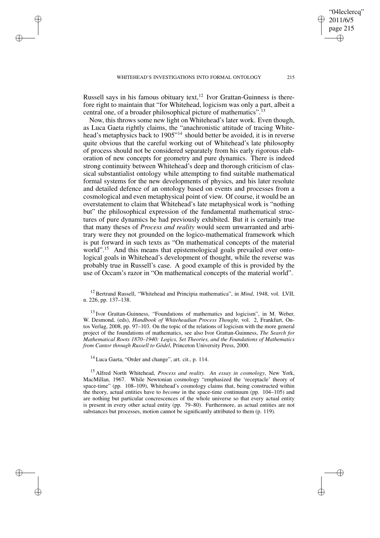✐

✐

✐

✐

Russell says in his famous obituary text,  $12$  Ivor Grattan-Guinness is therefore right to maintain that "for Whitehead, logicism was only a part, albeit a central one, of a broader philosophical picture of mathematics".<sup>13</sup>

Now, this throws some new light on Whitehead's later work. Even though, as Luca Gaeta rightly claims, the "anachronistic attitude of tracing Whitehead's metaphysics back to 1905"<sup>14</sup> should better be avoided, it is in reverse quite obvious that the careful working out of Whitehead's late philosophy of process should not be considered separately from his early rigorous elaboration of new concepts for geometry and pure dynamics. There is indeed strong continuity between Whitehead's deep and thorough criticism of classical substantialist ontology while attempting to find suitable mathematical formal systems for the new developments of physics, and his later resolute and detailed defence of an ontology based on events and processes from a cosmological and even metaphysical point of view. Of course, it would be an overstatement to claim that Whitehead's late metaphysical work is "nothing but" the philosophical expression of the fundamental mathematical structures of pure dynamics he had previously exhibited. But it is certainly true that many theses of *Process and reality* would seem unwarranted and arbitrary were they not grounded on the logico-mathematical framework which is put forward in such texts as "On mathematical concepts of the material world".<sup>15</sup> And this means that epistemological goals prevailed over ontological goals in Whitehead's development of thought, while the reverse was probably true in Russell's case. A good example of this is provided by the use of Occam's razor in "On mathematical concepts of the material world".

<sup>12</sup> Bertrand Russell, "Whitehead and Principia mathematica", in *Mind*, 1948, vol. LVII, n. 226, pp. 137–138.

<sup>13</sup> Ivor Grattan-Guinness, "Foundations of mathematics and logicism", in M. Weber, W. Desmond, (eds), *Handbook of Whiteheadian Process Thought*, vol. 2, Frankfurt, Ontos Verlag, 2008, pp. 97–103. On the topic of the relations of logicism with the more general project of the foundations of mathematics, see also Ivor Grattan-Guinness, *The Search for Mathematical Roots 1870–1940: Logics, Set Theories, and the Foundations of Mathematics from Cantor through Russell to Gödel*, Princeton University Press, 2000.

<sup>14</sup> Luca Gaeta, "Order and change", art. cit., p. 114.

<sup>15</sup> Alfred North Whitehead, *Process and reality. An essay in cosmology*, New York, MacMillan, 1967. While Newtonian cosmology "emphasized the 'receptacle' theory of space-time" (pp. 108–109), Whitehead's cosmology claims that, being constructed within the theory, actual entities have to *become* in the space-time continuum (pp. 104–105) and are nothing but particular concrescences of the whole universe so that every actual entity is present in every other actual entity (pp. 79–80). Furthermore, as actual entities are not substances but processes, motion cannot be significantly attributed to them (p. 119).

"04leclercq" 2011/6/5 page 215

✐

✐

✐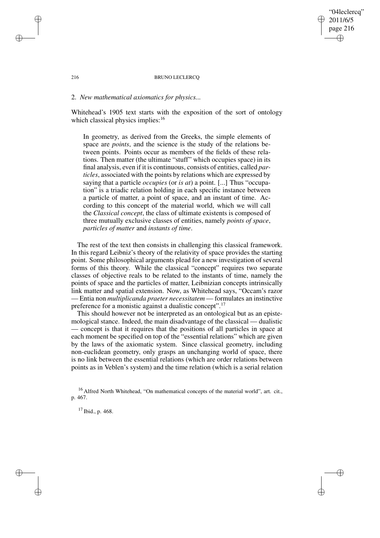### 216 BRUNO LECLERCO

"04leclercq" 2011/6/5 page 216

✐

✐

✐

✐

# 2. *New mathematical axiomatics for physics...*

Whitehead's 1905 text starts with the exposition of the sort of ontology which classical physics implies: $16$ 

In geometry, as derived from the Greeks, the simple elements of space are *points*, and the science is the study of the relations between points. Points occur as members of the fields of these relations. Then matter (the ultimate "stuff" which occupies space) in its final analysis, even if it is continuous, consists of entities, called *particles*, associated with the points by relations which are expressed by saying that a particle *occupies* (or *is at*) a point. [...] Thus "occupation" is a triadic relation holding in each specific instance between a particle of matter, a point of space, and an instant of time. According to this concept of the material world, which we will call the *Classical concept*, the class of ultimate existents is composed of three mutually exclusive classes of entities, namely *points of space*, *particles of matter* and *instants of time*.

The rest of the text then consists in challenging this classical framework. In this regard Leibniz's theory of the relativity of space provides the starting point. Some philosophical arguments plead for a new investigation of several forms of this theory. While the classical "concept" requires two separate classes of objective reals to be related to the instants of time, namely the points of space and the particles of matter, Leibnizian concepts intrinsically link matter and spatial extension. Now, as Whitehead says, "Occam's razor — Entia non *multiplicanda praeter necessitatem* — formulates an instinctive preference for a monistic against a dualistic concept".<sup>17</sup>

This should however not be interpreted as an ontological but as an epistemological stance. Indeed, the main disadvantage of the classical — dualistic — concept is that it requires that the positions of all particles in space at each moment be specified on top of the "essential relations" which are given by the laws of the axiomatic system. Since classical geometry, including non-euclidean geometry, only grasps an unchanging world of space, there is no link between the essential relations (which are order relations between points as in Veblen's system) and the time relation (which is a serial relation

 $17$  Ibid., p. 468.

✐

✐

✐

<sup>&</sup>lt;sup>16</sup> Alfred North Whitehead, "On mathematical concepts of the material world", art. cit., p. 467.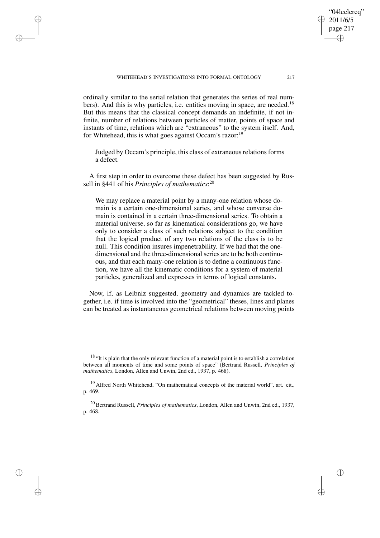#### WHITEHEAD'S INVESTIGATIONS INTO FORMAL ONTOLOGY 217

✐

✐

✐

✐

ordinally similar to the serial relation that generates the series of real numbers). And this is why particles, i.e. entities moving in space, are needed.<sup>18</sup> But this means that the classical concept demands an indefinite, if not infinite, number of relations between particles of matter, points of space and instants of time, relations which are "extraneous" to the system itself. And, for Whitehead, this is what goes against Occam's razor:<sup>19</sup>

Judged by Occam's principle, this class of extraneous relations forms a defect.

A first step in order to overcome these defect has been suggested by Russell in §441 of his *Principles of mathematics*: 20

We may replace a material point by a many-one relation whose domain is a certain one-dimensional series, and whose converse domain is contained in a certain three-dimensional series. To obtain a material universe, so far as kinematical considerations go, we have only to consider a class of such relations subject to the condition that the logical product of any two relations of the class is to be null. This condition insures impenetrability. If we had that the onedimensional and the three-dimensional series are to be both continuous, and that each many-one relation is to define a continuous function, we have all the kinematic conditions for a system of material particles, generalized and expresses in terms of logical constants.

Now, if, as Leibniz suggested, geometry and dynamics are tackled together, i.e. if time is involved into the "geometrical" theses, lines and planes can be treated as instantaneous geometrical relations between moving points

<sup>18</sup> "It is plain that the only relevant function of a material point is to establish a correlation between all moments of time and some points of space" (Bertrand Russell, *Principles of mathematics*, London, Allen and Unwin, 2nd ed., 1937, p. 468).

<sup>19</sup> Alfred North Whitehead, "On mathematical concepts of the material world", art. cit., p. 469.

<sup>20</sup> Bertrand Russell, *Principles of mathematics*, London, Allen and Unwin, 2nd ed., 1937, p. 468.

"04leclercq" 2011/6/5 page 217

✐

✐

✐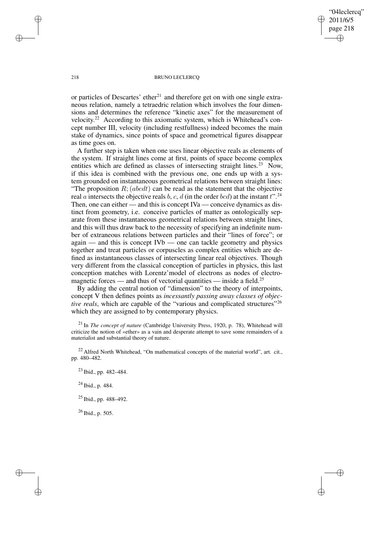"04leclercq" 2011/6/5 page 218 ✐ ✐

✐

✐

#### 218 BRUNO LECLERCQ

or particles of Descartes' ether<sup>21</sup> and therefore get on with one single extraneous relation, namely a tetraedric relation which involves the four dimensions and determines the reference "kinetic axes" for the measurement of velocity.<sup>22</sup> According to this axiomatic system, which is Whitehead's concept number III, velocity (including restfullness) indeed becomes the main stake of dynamics, since points of space and geometrical figures disappear as time goes on.

A further step is taken when one uses linear objective reals as elements of the system. If straight lines come at first, points of space become complex entities which are defined as classes of intersecting straight lines.<sup>23</sup> Now, if this idea is combined with the previous one, one ends up with a system grounded on instantaneous geometrical relations between straight lines: "The proposition  $R$ ; (abcdt) can be read as the statement that the objective real a intersects the objective reals b, c, d (in the order bcd) at the instant  $t$ <sup>" $, 24$ </sup> Then, one can either — and this is concept IVa — conceive dynamics as distinct from geometry, i.e. conceive particles of matter as ontologically separate from these instantaneous geometrical relations between straight lines, and this will thus draw back to the necessity of specifying an indefinite number of extraneous relations between particles and their "lines of force"; or again — and this is concept IVb — one can tackle geometry and physics together and treat particles or corpuscles as complex entities which are defined as instantaneous classes of intersecting linear real objectives. Though very different from the classical conception of particles in physics, this last conception matches with Lorentz'model of electrons as nodes of electromagnetic forces — and thus of vectorial quantities — inside a field.<sup>25</sup>

By adding the central notion of "dimension" to the theory of interpoints, concept V then defines points as *incessantly passing away classes of objective reals*, which are capable of the "various and complicated structures"<sup>26</sup> which they are assigned to by contemporary physics.

<sup>21</sup> In *The concept of nature* (Cambridge University Press, 1920, p. 78), Whitehead will criticize the notion of «ether» as a vain and desperate attempt to save some remainders of a materialist and substantial theory of nature.

 $22$  Alfred North Whitehead, "On mathematical concepts of the material world", art. cit., pp. 480–482.

<sup>23</sup> Ibid., pp. 482–484.

<sup>24</sup> Ibid., p. 484.

<sup>25</sup> Ibid., pp. 488–492.

<sup>26</sup> Ibid., p. 505.

✐

✐

✐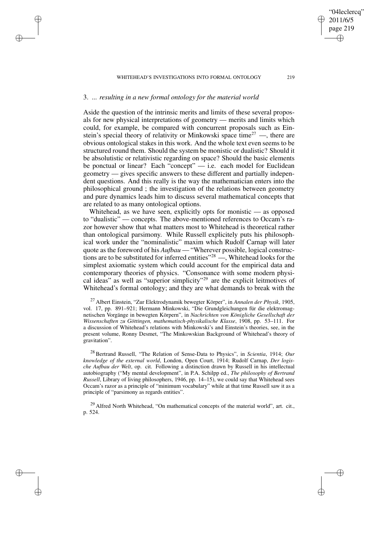#### WHITEHEAD'S INVESTIGATIONS INTO FORMAL ONTOLOGY 219

# 3. *... resulting in a new formal ontology for the material world*

✐

✐

✐

✐

Aside the question of the intrinsic merits and limits of these several proposals for new physical interpretations of geometry — merits and limits which could, for example, be compared with concurrent proposals such as Einstein's special theory of relativity or Minkowski space time<sup>27</sup> —, there are obvious ontological stakes in this work. And the whole text even seems to be structured round them. Should the system be monistic or dualistic? Should it be absolutistic or relativistic regarding on space? Should the basic elements be ponctual or linear? Each "concept" — i.e. each model for Euclidean geometry — gives specific answers to these different and partially independent questions. And this really is the way the mathematician enters into the philosophical ground ; the investigation of the relations between geometry and pure dynamics leads him to discuss several mathematical concepts that are related to as many ontological options.

Whitehead, as we have seen, explicitly opts for monistic — as opposed to "dualistic" — concepts. The above-mentioned references to Occam's razor however show that what matters most to Whitehead is theoretical rather than ontological parsimony. While Russell explicitely puts his philosophical work under the "nominalistic" maxim which Rudolf Carnap will later quote as the foreword of his *Aufbau* — "Wherever possible, logical constructions are to be substituted for inferred entities"<sup>28</sup> —, Whitehead looks for the simplest axiomatic system which could account for the empirical data and contemporary theories of physics. "Consonance with some modern physical ideas" as well as "superior simplicity"<sup>29</sup> are the explicit leitmotives of Whitehead's formal ontology; and they are what demands to break with the

<sup>27</sup> Albert Einstein, "Zur Elektrodynamik bewegter Körper", in *Annalen der Physik*, 1905, vol. 17, pp. 891–921; Hermann Minkowski, "Die Grundgleichungen für die elektromagnetischen Vorgänge in bewegten Körpern", in *Nachrichten von Königliche Gesellschaft der Wissenschaften zu Göttingen, mathematisch-physikalische Klasse*, 1908, pp. 53–111. For a discussion of Whitehead's relations with Minkowski's and Einstein's theories, see, in the present volume, Ronny Desmet, "The Minkowskian Background of Whitehead's theory of gravitation".

<sup>28</sup> Bertrand Russell, "The Relation of Sense-Data to Physics", in *Scientia*, 1914; *Our knowledge of the external world*, London, Open Court, 1914; Rudolf Carnap, *Der logische Aufbau der Welt*, op. cit. Following a distinction drawn by Russell in his intellectual autobiography ("My mental development", in P.A. Schilpp ed., *The philosophy of Bertrand Russell*, Library of living philosophers, 1946, pp. 14–15), we could say that Whitehead sees Occam's razor as a principle of "minimum vocabulary" while at that time Russell saw it as a principle of "parsimony as regards entities".

<sup>29</sup> Alfred North Whitehead, "On mathematical concepts of the material world", art. cit., p. 524.

"04leclercq" 2011/6/5 page 219

✐

✐

✐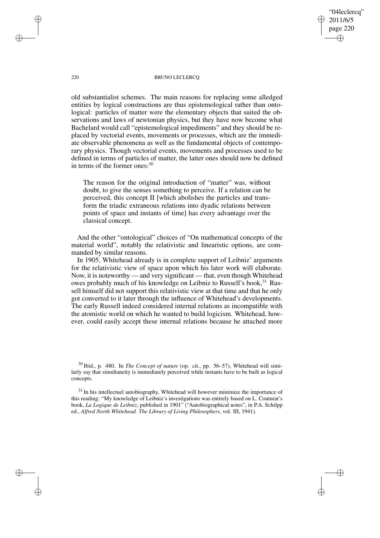"04leclercq" 2011/6/5 page 220 ✐ ✐

✐

✐

#### 220 BRUNO LECLERCO

old substantialist schemes. The main reasons for replacing some alledged entities by logical constructions are thus epistemological rather than ontological: particles of matter were the elementary objects that suited the observations and laws of newtonian physics, but they have now become what Bachelard would call "epistemological impediments" and they should be replaced by vectorial events, movements or processes, which are the immediate observable phenomena as well as the fundamental objects of contemporary physics. Though vectorial events, movements and processes used to be defined in terms of particles of matter, the latter ones should now be defined in terms of the former ones:<sup>30</sup>

The reason for the original introduction of "matter" was, without doubt, to give the senses something to perceive. If a relation can be perceived, this concept II [which abolishes the particles and transform the triadic extraneous relations into dyadic relations between points of space and instants of time] has every advantage over the classical concept.

And the other "ontological" choices of "On mathematical concepts of the material world", notably the relativistic and linearistic options, are commanded by similar reasons.

In 1905, Whitehead already is in complete support of Leibniz' arguments for the relativistic view of space upon which his later work will elaborate. Now, it is noteworthy — and very significant — that, even though Whitehead owes probably much of his knowledge on Leibniz to Russell's book.<sup>31</sup> Russell himself did not support this relativistic view at that time and that he only got converted to it later through the influence of Whitehead's developments. The early Russell indeed considered internal relations as incompatible with the atomistic world on which he wanted to build logicism. Whitehead, however, could easily accept these internal relations because he attached more

✐

✐

✐

<sup>30</sup> Ibid., p. 480. In *The Concept of nature* (op. cit., pp. 56–57), Whitehead will similarly say that simultaneity is immediately perceived while instants have to be built as logical concepts.

 $31$  In his intellectuel autobiography, Whitehead will however minimize the importance of this reading: "My knowledge of Leibniz's investigations was entirely based on L. Couturat's book, *La Logique de Leibniz*, published in 1901" ("Autobiographical notes", in P.A. Schilpp ed., *Alfred North Whitehead. The Library of Living Philosophers*, vol. III, 1941).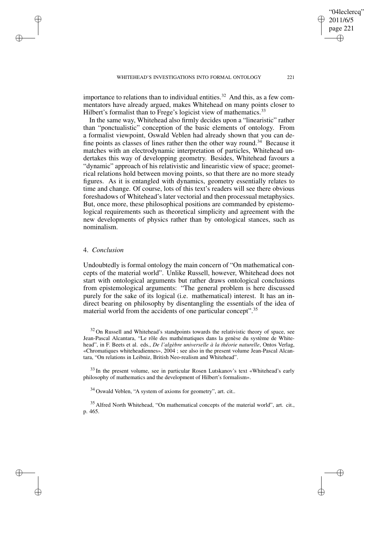importance to relations than to individual entities.<sup>32</sup> And this, as a few commentators have already argued, makes Whitehead on many points closer to Hilbert's formalist than to Frege's logicist view of mathematics.<sup>33</sup>

In the same way, Whitehead also firmly decides upon a "linearistic" rather than "ponctualistic" conception of the basic elements of ontology. From a formalist viewpoint, Oswald Veblen had already shown that you can define points as classes of lines rather then the other way round.<sup>34</sup> Because it matches with an electrodynamic interpretation of particles, Whitehead undertakes this way of developping geometry. Besides, Whitehead favours a "dynamic" approach of his relativistic and linearistic view of space; geometrical relations hold between moving points, so that there are no more steady figures. As it is entangled with dynamics, geometry essentially relates to time and change. Of course, lots of this text's readers will see there obvious foreshadows of Whitehead's later vectorial and then processual metaphysics. But, once more, these philosophical positions are commanded by epistemological requirements such as theoretical simplicity and agreement with the new developments of physics rather than by ontological stances, such as nominalism.

## 4. *Conclusion*

✐

✐

✐

✐

Undoubtedly is formal ontology the main concern of "On mathematical concepts of the material world". Unlike Russell, however, Whitehead does not start with ontological arguments but rather draws ontological conclusions from epistemological arguments: "The general problem is here discussed purely for the sake of its logical (i.e. mathematical) interest. It has an indirect bearing on philosophy by disentangling the essentials of the idea of material world from the accidents of one particular concept".<sup>35</sup>

 $32$  On Russell and Whitehead's standpoints towards the relativistic theory of space, see Jean-Pascal Alcantara, "Le rôle des mathématiques dans la genèse du système de Whitehead", in F. Beets et al. eds., *De l'algèbre universelle à la théorie naturelle*, Ontos Verlag, «Chromatiques whiteheadiennes», 2004 ; see also in the present volume Jean-Pascal Alcantara, "On relations in Leibniz, British Neo-realism and Whitehead".

 $33$  In the present volume, see in particular Rosen Lutskanov's text «Whitehead's early philosophy of mathematics and the development of Hilbert's formalism».

<sup>34</sup> Oswald Veblen, "A system of axioms for geometry", art. cit..

<sup>35</sup> Alfred North Whitehead, "On mathematical concepts of the material world", art. cit., p. 465.

"04leclercq" 2011/6/5 page 221

✐

✐

✐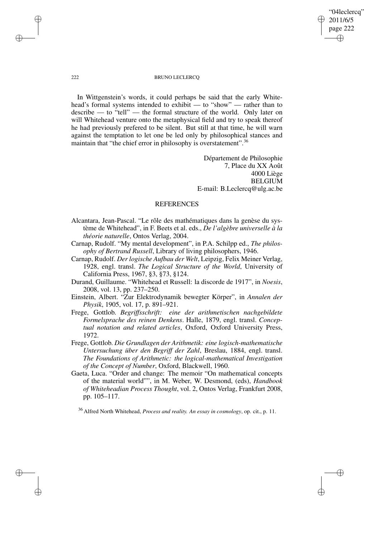## "04leclercq" 2011/6/5 page 222 ✐ ✐

✐

✐

#### 222 BRUNO LECLERCQ

In Wittgenstein's words, it could perhaps be said that the early Whitehead's formal systems intended to exhibit — to "show" — rather than to describe — to "tell" — the formal structure of the world. Only later on will Whitehead venture onto the metaphysical field and try to speak thereof he had previously prefered to be silent. But still at that time, he will warn against the temptation to let one be led only by philosophical stances and maintain that "the chief error in philosophy is overstatement".<sup>36</sup>

> Département de Philosophie 7, Place du XX Août 4000 Liège BELGIUM E-mail: B.Leclercq@ulg.ac.be

# REFERENCES

- Alcantara, Jean-Pascal. "Le rôle des mathématiques dans la genèse du système de Whitehead", in F. Beets et al. eds., *De l'algèbre universelle à la théorie naturelle*, Ontos Verlag, 2004.
- Carnap, Rudolf. "My mental development", in P.A. Schilpp ed., *The philosophy of Bertrand Russell*, Library of living philosophers, 1946.
- Carnap, Rudolf. *Der logische Aufbau der Welt*, Leipzig, Felix Meiner Verlag, 1928, engl. transl. *The Logical Structure of the World*, University of California Press, 1967, §3, §73, §124.
- Durand, Guillaume. "Whitehead et Russell: la discorde de 1917", in *Noesis*, 2008, vol. 13, pp. 237–250.
- Einstein, Albert. "Zur Elektrodynamik bewegter Körper", in *Annalen der Physik*, 1905, vol. 17, p. 891–921.
- Frege, Gottlob. *Begriffsschrift: eine der arithmetischen nachgebildete Formelsprache des reinen Denkens*. Halle, 1879, engl. transl. *Conceptual notation and related articles*, Oxford, Oxford University Press, 1972.
- Frege, Gottlob. *Die Grundlagen der Arithmetik: eine logisch-mathematische Untersuchung über den Begriff der Zahl*, Breslau, 1884, engl. transl. *The Foundations of Arithmetic: the logical-mathematical Investigation of the Concept of Number*, Oxford, Blackwell, 1960.
- Gaeta, Luca. "Order and change: The memoir "On mathematical concepts of the material world"", in M. Weber, W. Desmond, (eds), *Handbook of Whiteheadian Process Thought*, vol. 2, Ontos Verlag, Frankfurt 2008, pp. 105–117.

<sup>36</sup> Alfred North Whitehead, *Process and reality. An essay in cosmology*, op. cit., p. 11.

✐

✐

✐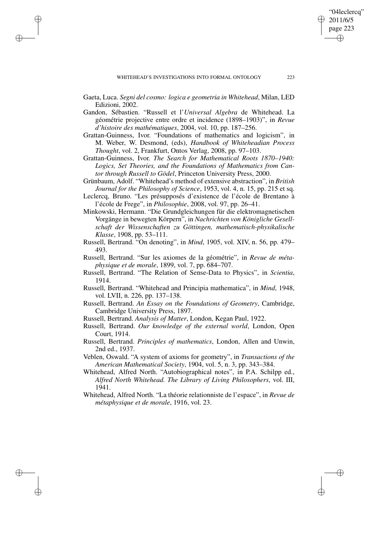Gaeta, Luca. *Segni del cosmo: logica e geometria in Whitehead*, Milan, LED Edizioni, 2002.

✐

✐

✐

✐

- Gandon, Sébastien. "Russell et l'*Universal Algebra* de Whitehead. La géométrie projective entre ordre et incidence (1898–1903)", in *Revue d'histoire des mathématiques*, 2004, vol. 10, pp. 187–256.
- Grattan-Guinness, Ivor. "Foundations of mathematics and logicism", in M. Weber, W. Desmond, (eds), *Handbook of Whiteheadian Process Thought*, vol. 2, Frankfurt, Ontos Verlag, 2008, pp. 97–103.
- Grattan-Guinness, Ivor. *The Search for Mathematical Roots 1870–1940: Logics, Set Theories, and the Foundations of Mathematics from Cantor through Russell to Gödel*, Princeton University Press, 2000.
- Grünbaum, Adolf. "Whitehead's method of extensive abstraction", in *British Journal for the Philosophy of Science*, 1953, vol. 4, n. 15, pp. 215 et sq.
- Leclercq, Bruno. "Les présupposés d'existence de l'école de Brentano à l'école de Frege", in *Philosophie*, 2008, vol. 97, pp. 26–41.
- Minkowski, Hermann. "Die Grundgleichungen für die elektromagnetischen Vorgänge in bewegten Körpern", in *Nachrichten von Königliche Gesellschaft der Wissenschaften zu Göttingen, mathematisch-physikalische Klasse*, 1908, pp. 53–111.
- Russell, Bertrand. "On denoting", in *Mind*, 1905, vol. XIV, n. 56, pp. 479– 493.
- Russell, Bertrand. "Sur les axiomes de la géométrie", in *Revue de métaphysique et de morale*, 1899, vol. 7, pp. 684–707.
- Russell, Bertrand. "The Relation of Sense-Data to Physics", in *Scientia*, 1914.
- Russell, Bertrand. "Whitehead and Principia mathematica", in *Mind*, 1948, vol. LVII, n. 226, pp. 137–138.
- Russell, Bertrand. *An Essay on the Foundations of Geometry*, Cambridge, Cambridge University Press, 1897.
- Russell, Bertrand. *Analysis of Matter*, London, Kegan Paul, 1922.
- Russell, Bertrand. *Our knowledge of the external world*, London, Open Court, 1914.
- Russell, Bertrand. *Principles of mathematics*, London, Allen and Unwin, 2nd ed., 1937.
- Veblen, Oswald. "A system of axioms for geometry", in *Transactions of the American Mathematical Society*, 1904, vol. 5, n. 3, pp. 343–384.
- Whitehead, Alfred North. "Autobiographical notes", in P.A. Schilpp ed., *Alfred North Whitehead. The Library of Living Philosophers*, vol. III, 1941.
- Whitehead, Alfred North. "La théorie relationniste de l'espace", in *Revue de métaphysique et de morale*, 1916, vol. 23.

"04leclercq" 2011/6/5 page 223

✐

✐

✐